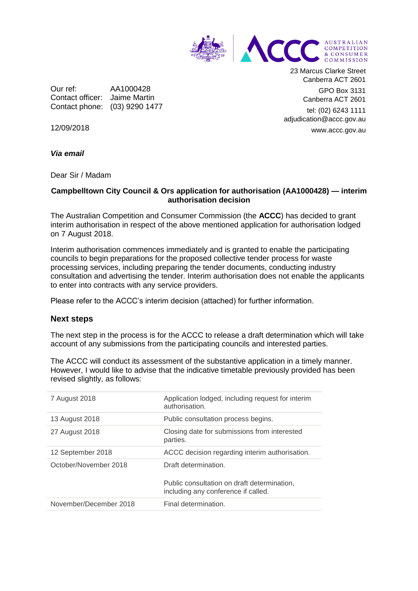

Our ref: AA1000428 Contact officer: Jaime Martin Contact phone: (03) 9290 1477 23 Marcus Clarke Street Canberra ACT 2601

GPO Box 3131 Canberra ACT 2601

tel: (02) 6243 1111 adjudication@accc.gov.au www.accc.gov.au

12/09/2018

*Via email*

Dear Sir / Madam

## **Campbelltown City Council & Ors application for authorisation (AA1000428) — interim authorisation decision**

The Australian Competition and Consumer Commission (the **ACCC**) has decided to grant interim authorisation in respect of the above mentioned application for authorisation lodged on 7 August 2018.

Interim authorisation commences immediately and is granted to enable the participating councils to begin preparations for the proposed collective tender process for waste processing services, including preparing the tender documents, conducting industry consultation and advertising the tender. Interim authorisation does not enable the applicants to enter into contracts with any service providers.

Please refer to the ACCC's interim decision (attached) for further information.

## **Next steps**

The next step in the process is for the ACCC to release a draft determination which will take account of any submissions from the participating councils and interested parties.

The ACCC will conduct its assessment of the substantive application in a timely manner. However, I would like to advise that the indicative timetable previously provided has been revised slightly, as follows:

| 7 August 2018          | Application lodged, including request for interim<br>authorisation.                |
|------------------------|------------------------------------------------------------------------------------|
| 13 August 2018         | Public consultation process begins.                                                |
| 27 August 2018         | Closing date for submissions from interested<br>parties.                           |
| 12 September 2018      | ACCC decision regarding interim authorisation.                                     |
| October/November 2018  | Draft determination.                                                               |
|                        | Public consultation on draft determination,<br>including any conference if called. |
| November/December 2018 | Final determination.                                                               |